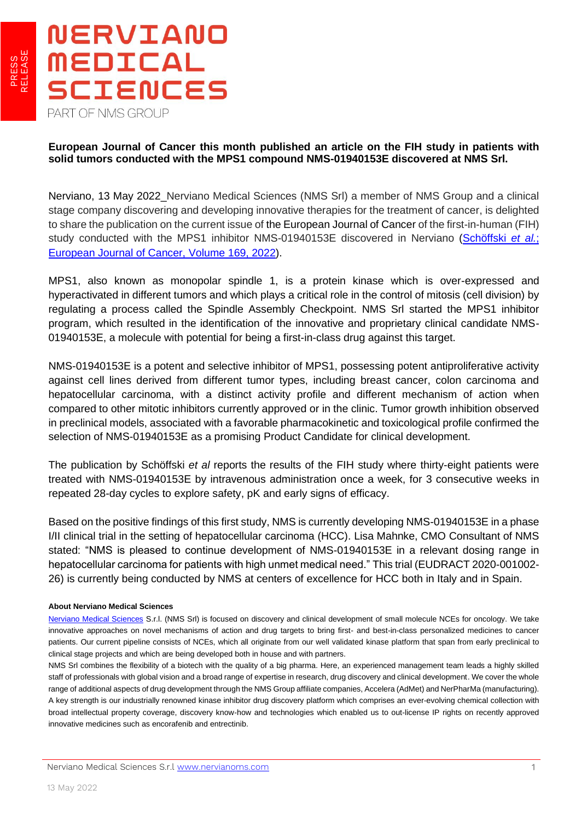

## **European Journal of Cancer this month published an article on the FIH study in patients with solid tumors conducted with the MPS1 compound NMS-01940153E discovered at NMS Srl.**

Nerviano, 13 May 2022 Nerviano Medical Sciences (NMS Srl) a member of NMS Group and a clinical stage company discovering and developing innovative therapies for the treatment of cancer, is delighted to share the publication on the current issue of the European Journal of Cancer of the first-in-human (FIH) study conducted with the MPS1 inhibitor NMS-01940153E discovered in Nerviano [\(Schöffski](https://www.sciencedirect.com/science/article/pii/S0959804922001708) et al.; [European Journal of Cancer, Volume 169, 2022\)](https://www.sciencedirect.com/science/article/pii/S0959804922001708).

MPS1, also known as monopolar spindle 1, is a protein kinase which is over-expressed and hyperactivated in different tumors and which plays a critical role in the control of mitosis (cell division) by regulating a process called the Spindle Assembly Checkpoint. NMS Srl started the MPS1 inhibitor program, which resulted in the identification of the innovative and proprietary clinical candidate NMS-01940153E, a molecule with potential for being a first-in-class drug against this target.

NMS-01940153E is a potent and selective inhibitor of MPS1, possessing potent antiproliferative activity against cell lines derived from different tumor types, including breast cancer, colon carcinoma and hepatocellular carcinoma, with a distinct activity profile and different mechanism of action when compared to other mitotic inhibitors currently approved or in the clinic. Tumor growth inhibition observed in preclinical models, associated with a favorable pharmacokinetic and toxicological profile confirmed the selection of NMS-01940153E as a promising Product Candidate for clinical development.

The publication by Schöffski *et al* reports the results of the FIH study where thirty-eight patients were treated with NMS-01940153E by intravenous administration once a week, for 3 consecutive weeks in repeated 28-day cycles to explore safety, pK and early signs of efficacy.

Based on the positive findings of this first study, NMS is currently developing NMS-01940153E in a phase I/II clinical trial in the setting of hepatocellular carcinoma (HCC). Lisa Mahnke, CMO Consultant of NMS stated: "NMS is pleased to continue development of NMS-01940153E in a relevant dosing range in hepatocellular carcinoma for patients with high unmet medical need." This trial (EUDRACT 2020-001002- 26) is currently being conducted by NMS at centers of excellence for HCC both in Italy and in Spain.

## **About Nerviano Medical Sciences**

[Nerviano Medical Sciences](https://www.nervianoms.com/) S.r.l. (NMS Srl) is focused on discovery and clinical development of small molecule NCEs for oncology. We take innovative approaches on novel mechanisms of action and drug targets to bring first- and best-in-class personalized medicines to cancer patients. Our current pipeline consists of NCEs, which all originate from our well validated kinase platform that span from early preclinical to clinical stage projects and which are being developed both in house and with partners.

NMS Srl combines the flexibility of a biotech with the quality of a big pharma. Here, an experienced management team leads a highly skilled staff of professionals with global vision and a broad range of expertise in research, drug discovery and clinical development. We cover the whole range of additional aspects of drug development through the NMS Group affiliate companies, Accelera (AdMet) and NerPharMa (manufacturing). A key strength is our industrially renowned kinase inhibitor drug discovery platform which comprises an ever-evolving chemical collection with broad intellectual property coverage, discovery know-how and technologies which enabled us to out-license IP rights on recently approved innovative medicines such as encorafenib and entrectinib.

L